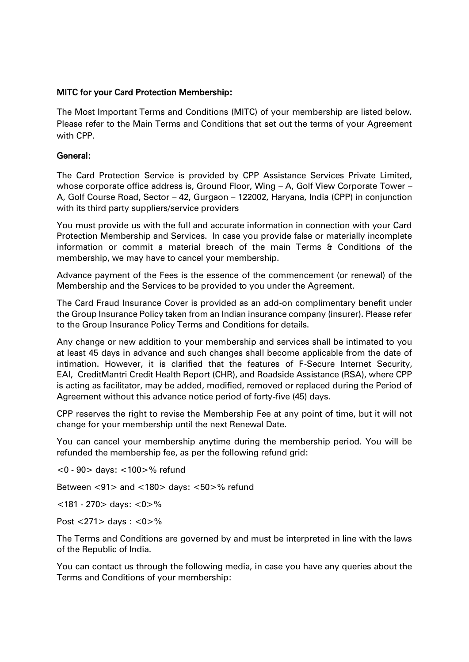## MITC for your Card Protection Membership:

The Most Important Terms and Conditions (MITC) of your membership are listed below. Please refer to the Main Terms and Conditions that set out the terms of your Agreement with CPP.

## General:

The Card Protection Service is provided by CPP Assistance Services Private Limited, whose corporate office address is, Ground Floor, Wing – A, Golf View Corporate Tower – A, Golf Course Road, Sector – 42, Gurgaon – 122002, Haryana, India (CPP) in conjunction with its third party suppliers/service providers

You must provide us with the full and accurate information in connection with your Card Protection Membership and Services. In case you provide false or materially incomplete information or commit a material breach of the main Terms & Conditions of the membership, we may have to cancel your membership.

Advance payment of the Fees is the essence of the commencement (or renewal) of the Membership and the Services to be provided to you under the Agreement.

The Card Fraud Insurance Cover is provided as an add-on complimentary benefit under the Group Insurance Policy taken from an Indian insurance company (insurer). Please refer to the Group Insurance Policy Terms and Conditions for details.

Any change or new addition to your membership and services shall be intimated to you at least 45 days in advance and such changes shall become applicable from the date of intimation. However, it is clarified that the features of F-Secure Internet Security, EAI, CreditMantri Credit Health Report (CHR), and Roadside Assistance (RSA), where CPP is acting as facilitator, may be added, modified, removed or replaced during the Period of Agreement without this advance notice period of forty-five (45) days.

CPP reserves the right to revise the Membership Fee at any point of time, but it will not change for your membership until the next Renewal Date.

You can cancel your membership anytime during the membership period. You will be refunded the membership fee, as per the following refund grid:

<0 - 90> days: <100>% refund Between <91> and <180> days: <50>% refund

<181 - 270> days: <0>%

Post <271> days : <0>%

The Terms and Conditions are governed by and must be interpreted in line with the laws of the Republic of India.

You can contact us through the following media, in case you have any queries about the Terms and Conditions of your membership: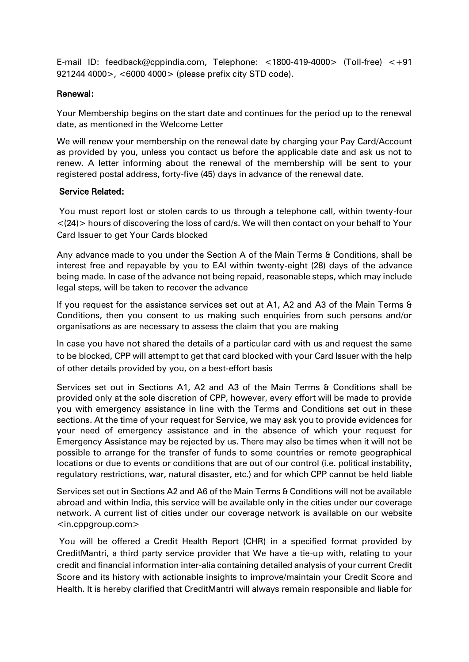E-mail ID: [feedback@cppindia.com,](mailto:feedback@cppindia.com) Telephone: <1800-419-4000> (Toll-free) <+91 921244 4000>, <6000 4000> (please prefix city STD code).

### Renewal:

Your Membership begins on the start date and continues for the period up to the renewal date, as mentioned in the Welcome Letter

We will renew your membership on the renewal date by charging your Pay Card/Account as provided by you, unless you contact us before the applicable date and ask us not to renew. A letter informing about the renewal of the membership will be sent to your registered postal address, forty-five (45) days in advance of the renewal date.

### Service Related:

You must report lost or stolen cards to us through a telephone call, within twenty-four <(24)> hours of discovering the loss of card/s. We will then contact on your behalf to Your Card Issuer to get Your Cards blocked

Any advance made to you under the Section A of the Main Terms & Conditions, shall be interest free and repayable by you to EAI within twenty-eight (28) days of the advance being made. In case of the advance not being repaid, reasonable steps, which may include legal steps, will be taken to recover the advance

If you request for the assistance services set out at A1, A2 and A3 of the Main Terms & Conditions, then you consent to us making such enquiries from such persons and/or organisations as are necessary to assess the claim that you are making

In case you have not shared the details of a particular card with us and request the same to be blocked, CPP will attempt to get that card blocked with your Card Issuer with the help of other details provided by you, on a best-effort basis

Services set out in Sections A1, A2 and A3 of the Main Terms & Conditions shall be provided only at the sole discretion of CPP, however, every effort will be made to provide you with emergency assistance in line with the Terms and Conditions set out in these sections. At the time of your request for Service, we may ask you to provide evidences for your need of emergency assistance and in the absence of which your request for Emergency Assistance may be rejected by us. There may also be times when it will not be possible to arrange for the transfer of funds to some countries or remote geographical locations or due to events or conditions that are out of our control (i.e. political instability, regulatory restrictions, war, natural disaster, etc.) and for which CPP cannot be held liable

Services set out in Sections A2 and A6 of the Main Terms & Conditions will not be available abroad and within India, this service will be available only in the cities under our coverage network. A current list of cities under our coverage network is available on our website <in.cppgroup.com>

You will be offered a Credit Health Report (CHR) in a specified format provided by CreditMantri, a third party service provider that We have a tie-up with, relating to your credit and financial information inter-alia containing detailed analysis of your current Credit Score and its history with actionable insights to improve/maintain your Credit Score and Health. It is hereby clarified that CreditMantri will always remain responsible and liable for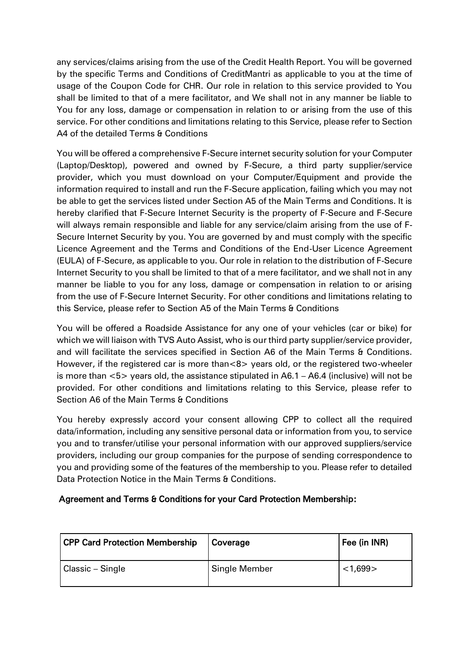any services/claims arising from the use of the Credit Health Report. You will be governed by the specific Terms and Conditions of CreditMantri as applicable to you at the time of usage of the Coupon Code for CHR. Our role in relation to this service provided to You shall be limited to that of a mere facilitator, and We shall not in any manner be liable to You for any loss, damage or compensation in relation to or arising from the use of this service. For other conditions and limitations relating to this Service, please refer to Section A4 of the detailed Terms & Conditions

You will be offered a comprehensive F-Secure internet security solution for your Computer (Laptop/Desktop), powered and owned by F-Secure, a third party supplier/service provider, which you must download on your Computer/Equipment and provide the information required to install and run the F-Secure application, failing which you may not be able to get the services listed under Section A5 of the Main Terms and Conditions. It is hereby clarified that F-Secure Internet Security is the property of F-Secure and F-Secure will always remain responsible and liable for any service/claim arising from the use of F-Secure Internet Security by you. You are governed by and must comply with the specific Licence Agreement and the Terms and Conditions of the End-User Licence Agreement (EULA) of F-Secure, as applicable to you. Our role in relation to the distribution of F-Secure Internet Security to you shall be limited to that of a mere facilitator, and we shall not in any manner be liable to you for any loss, damage or compensation in relation to or arising from the use of F-Secure Internet Security. For other conditions and limitations relating to this Service, please refer to Section A5 of the Main Terms & Conditions

You will be offered a Roadside Assistance for any one of your vehicles (car or bike) for which we will liaison with TVS Auto Assist, who is our third party supplier/service provider, and will facilitate the services specified in Section A6 of the Main Terms & Conditions. However, if the registered car is more than<8> years old, or the registered two-wheeler is more than <5> years old, the assistance stipulated in A6.1 – A6.4 (inclusive) will not be provided. For other conditions and limitations relating to this Service, please refer to Section A6 of the Main Terms & Conditions

You hereby expressly accord your consent allowing CPP to collect all the required data/information, including any sensitive personal data or information from you, to service you and to transfer/utilise your personal information with our approved suppliers/service providers, including our group companies for the purpose of sending correspondence to you and providing some of the features of the membership to you. Please refer to detailed Data Protection Notice in the Main Terms & Conditions.

## Agreement and Terms & Conditions for your Card Protection Membership:

| <b>CPP Card Protection Membership</b> | Coverage      | Fee (in INR) |
|---------------------------------------|---------------|--------------|
| <b>Classic – Single</b>               | Single Member | < 1,699      |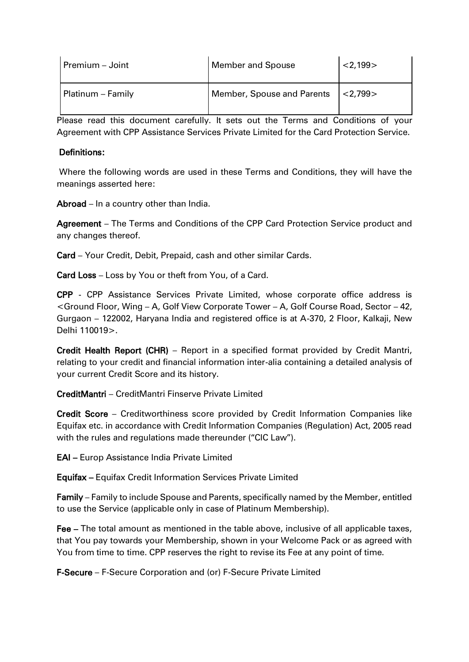| Premium - Joint   | <b>Member and Spouse</b>   | < 2,199>  |
|-------------------|----------------------------|-----------|
| Platinum – Family | Member, Spouse and Parents | 1 < 2.799 |

Please read this document carefully. It sets out the Terms and Conditions of your Agreement with CPP Assistance Services Private Limited for the Card Protection Service.

### Definitions:

Where the following words are used in these Terms and Conditions, they will have the meanings asserted here:

Abroad – In a country other than India.

Agreement – The Terms and Conditions of the CPP Card Protection Service product and any changes thereof.

Card – Your Credit, Debit, Prepaid, cash and other similar Cards.

Card Loss – Loss by You or theft from You, of a Card.

CPP - CPP Assistance Services Private Limited, whose corporate office address is <Ground Floor, Wing – A, Golf View Corporate Tower – A, Golf Course Road, Sector – 42, Gurgaon – 122002, Haryana India and registered office is at A-370, 2 Floor, Kalkaji, New Delhi 110019>.

Credit Health Report (CHR) – Report in a specified format provided by Credit Mantri, relating to your credit and financial information inter-alia containing a detailed analysis of your current Credit Score and its history.

CreditMantri – CreditMantri Finserve Private Limited

Credit Score – Creditworthiness score provided by Credit Information Companies like Equifax etc. in accordance with Credit Information Companies (Regulation) Act, 2005 read with the rules and regulations made thereunder ("CIC Law").

EAI – Europ Assistance India Private Limited

Equifax – Equifax Credit Information Services Private Limited

Family – Family to include Spouse and Parents, specifically named by the Member, entitled to use the Service (applicable only in case of Platinum Membership).

Fee – The total amount as mentioned in the table above, inclusive of all applicable taxes, that You pay towards your Membership, shown in your Welcome Pack or as agreed with You from time to time. CPP reserves the right to revise its Fee at any point of time.

F-Secure – F-Secure Corporation and (or) F-Secure Private Limited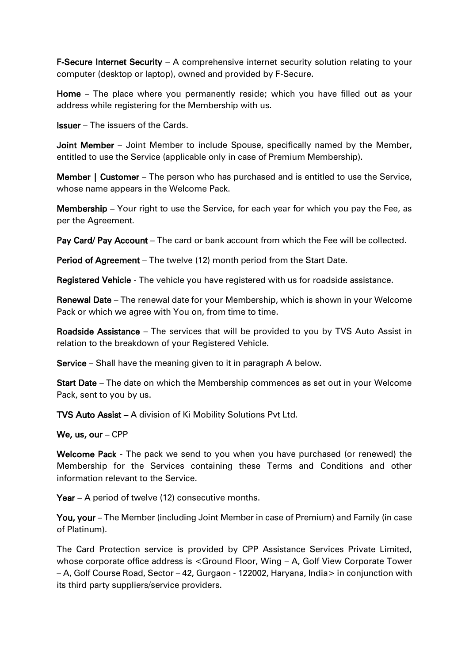F-Secure Internet Security – A comprehensive internet security solution relating to your computer (desktop or laptop), owned and provided by F-Secure.

Home – The place where you permanently reside; which you have filled out as your address while registering for the Membership with us.

Issuer – The issuers of the Cards.

Joint Member – Joint Member to include Spouse, specifically named by the Member, entitled to use the Service (applicable only in case of Premium Membership).

**Member | Customer** – The person who has purchased and is entitled to use the Service, whose name appears in the Welcome Pack.

Membership – Your right to use the Service, for each year for which you pay the Fee, as per the Agreement.

Pay Card/ Pay Account – The card or bank account from which the Fee will be collected.

Period of Agreement – The twelve (12) month period from the Start Date.

Registered Vehicle - The vehicle you have registered with us for roadside assistance.

Renewal Date – The renewal date for your Membership, which is shown in your Welcome Pack or which we agree with You on, from time to time.

Roadside Assistance – The services that will be provided to you by TVS Auto Assist in relation to the breakdown of your Registered Vehicle.

Service – Shall have the meaning given to it in paragraph A below.

Start Date – The date on which the Membership commences as set out in your Welcome Pack, sent to you by us.

TVS Auto Assist – A division of Ki Mobility Solutions Pvt Ltd.

### We, us, our – CPP

Welcome Pack - The pack we send to you when you have purchased (or renewed) the Membership for the Services containing these Terms and Conditions and other information relevant to the Service.

Year – A period of twelve (12) consecutive months.

You, your – The Member (including Joint Member in case of Premium) and Family (in case of Platinum).

The Card Protection service is provided by CPP Assistance Services Private Limited, whose corporate office address is <Ground Floor, Wing – A, Golf View Corporate Tower – A, Golf Course Road, Sector – 42, Gurgaon - 122002, Haryana, India> in conjunction with its third party suppliers/service providers.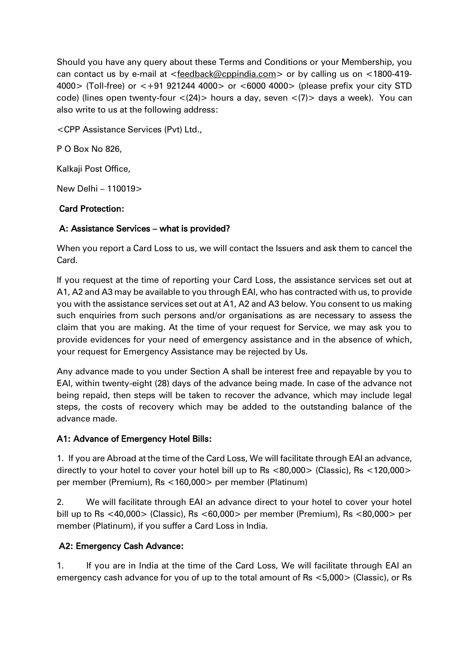Should you have any query about these Terms and Conditions or your Membership, you can contact us by e-mail at [<feedback@cppindia.com>](mailto:feedback@cppindia.com) or by calling us on <1800-419- 4000> (Toll-free) or <+91 921244 4000> or <6000 4000> (please prefix your city STD code) (lines open twenty-four <(24)> hours a day, seven <(7)> days a week). You can also write to us at the following address:

<CPP Assistance Services (Pvt) Ltd.,

P O Box No 826,

Kalkaji Post Office,

New Delhi – 110019>

## Card Protection:

## A: Assistance Services – what is provided?

When you report a Card Loss to us, we will contact the Issuers and ask them to cancel the Card.

If you request at the time of reporting your Card Loss, the assistance services set out at A1, A2 and A3 may be available to you through EAI, who has contracted with us, to provide you with the assistance services set out at A1, A2 and A3 below. You consent to us making such enquiries from such persons and/or organisations as are necessary to assess the claim that you are making. At the time of your request for Service, we may ask you to provide evidences for your need of emergency assistance and in the absence of which, your request for Emergency Assistance may be rejected by Us.

Any advance made to you under Section A shall be interest free and repayable by you to EAI, within twenty-eight (28) days of the advance being made. In case of the advance not being repaid, then steps will be taken to recover the advance, which may include legal steps, the costs of recovery which may be added to the outstanding balance of the advance made.

## A1: Advance of Emergency Hotel Bills:

1. If you are Abroad at the time of the Card Loss, We will facilitate through EAI an advance, directly to your hotel to cover your hotel bill up to Rs <80,000> (Classic), Rs <120,000> per member (Premium), Rs <160,000> per member (Platinum)

2. We will facilitate through EAI an advance direct to your hotel to cover your hotel bill up to Rs <40,000> (Classic), Rs <60,000> per member (Premium), Rs <80,000> per member (Platinum), if you suffer a Card Loss in India.

# A2: Emergency Cash Advance:

1. If you are in India at the time of the Card Loss, We will facilitate through EAI an emergency cash advance for you of up to the total amount of Rs <5,000> (Classic), or Rs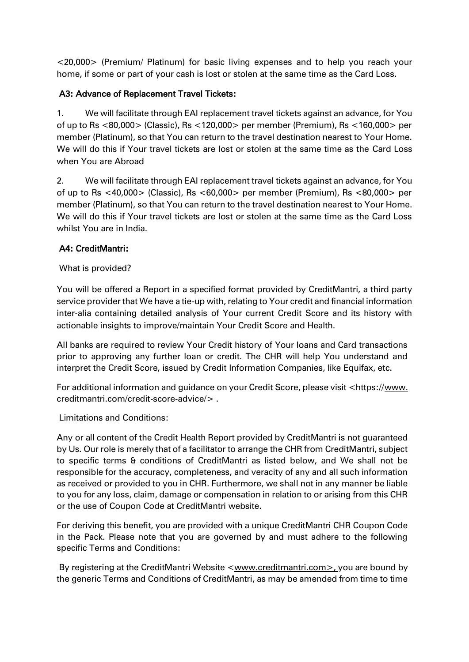<20,000> (Premium/ Platinum) for basic living expenses and to help you reach your home, if some or part of your cash is lost or stolen at the same time as the Card Loss.

# A3: Advance of Replacement Travel Tickets:

1. We will facilitate through EAI replacement travel tickets against an advance, for You of up to Rs <80,000> (Classic), Rs <120,000> per member (Premium), Rs <160,000> per member (Platinum), so that You can return to the travel destination nearest to Your Home. We will do this if Your travel tickets are lost or stolen at the same time as the Card Loss when You are Abroad

2. We will facilitate through EAI replacement travel tickets against an advance, for You of up to Rs <40,000> (Classic), Rs <60,000> per member (Premium), Rs <80,000> per member (Platinum), so that You can return to the travel destination nearest to Your Home. We will do this if Your travel tickets are lost or stolen at the same time as the Card Loss whilst You are in India.

# A4: CreditMantri:

# What is provided?

You will be offered a Report in a specified format provided by CreditMantri, a third party service provider that We have a tie-up with, relating to Your credit and financial information inter-alia containing detailed analysis of Your current Credit Score and its history with actionable insights to improve/maintain Your Credit Score and Health.

All banks are required to review Your Credit history of Your loans and Card transactions prior to approving any further loan or credit. The CHR will help You understand and interpret the Credit Score, issued by Credit Information Companies, like Equifax, etc.

For additional information and guidance on your Credit Score, please visit <https:/[/www.](http://www/) creditmantri.com/credit-score-advice/> .

Limitations and Conditions:

Any or all content of the Credit Health Report provided by CreditMantri is not guaranteed by Us. Our role is merely that of a facilitator to arrange the CHR from CreditMantri, subject to specific terms & conditions of CreditMantri as listed below, and We shall not be responsible for the accuracy, completeness, and veracity of any and all such information as received or provided to you in CHR. Furthermore, we shall not in any manner be liable to you for any loss, claim, damage or compensation in relation to or arising from this CHR or the use of Coupon Code at CreditMantri website.

For deriving this benefit, you are provided with a unique CreditMantri CHR Coupon Code in the Pack. Please note that you are governed by and must adhere to the following specific Terms and Conditions:

By registering at the CreditMantri Website [<www.creditmantri.com>](http://www.creditmantri.com/), you are bound by the generic Terms and Conditions of CreditMantri, as may be amended from time to time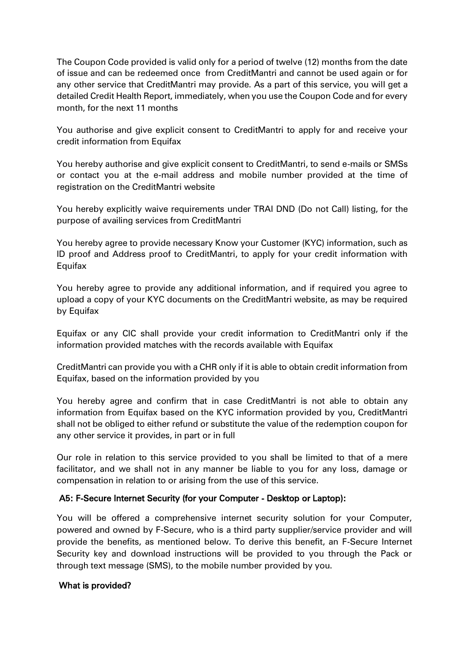The Coupon Code provided is valid only for a period of twelve (12) months from the date of issue and can be redeemed once from CreditMantri and cannot be used again or for any other service that CreditMantri may provide. As a part of this service, you will get a detailed Credit Health Report, immediately, when you use the Coupon Code and for every month, for the next 11 months

You authorise and give explicit consent to CreditMantri to apply for and receive your credit information from Equifax

You hereby authorise and give explicit consent to CreditMantri, to send e-mails or SMSs or contact you at the e-mail address and mobile number provided at the time of registration on the CreditMantri website

You hereby explicitly waive requirements under TRAI DND (Do not Call) listing, for the purpose of availing services from CreditMantri

You hereby agree to provide necessary Know your Customer (KYC) information, such as ID proof and Address proof to CreditMantri, to apply for your credit information with Equifax

You hereby agree to provide any additional information, and if required you agree to upload a copy of your KYC documents on the CreditMantri website, as may be required by Equifax

Equifax or any CIC shall provide your credit information to CreditMantri only if the information provided matches with the records available with Equifax

CreditMantri can provide you with a CHR only if it is able to obtain credit information from Equifax, based on the information provided by you

You hereby agree and confirm that in case CreditMantri is not able to obtain any information from Equifax based on the KYC information provided by you, CreditMantri shall not be obliged to either refund or substitute the value of the redemption coupon for any other service it provides, in part or in full

Our role in relation to this service provided to you shall be limited to that of a mere facilitator, and we shall not in any manner be liable to you for any loss, damage or compensation in relation to or arising from the use of this service.

### A5: F-Secure Internet Security (for your Computer - Desktop or Laptop):

You will be offered a comprehensive internet security solution for your Computer, powered and owned by F-Secure, who is a third party supplier/service provider and will provide the benefits, as mentioned below. To derive this benefit, an F-Secure Internet Security key and download instructions will be provided to you through the Pack or through text message (SMS), to the mobile number provided by you.

### What is provided?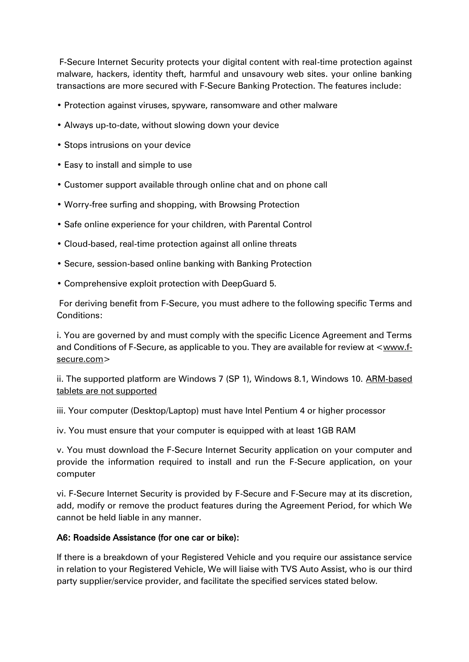F-Secure Internet Security protects your digital content with real-time protection against malware, hackers, identity theft, harmful and unsavoury web sites. your online banking transactions are more secured with F-Secure Banking Protection. The features include:

- Protection against viruses, spyware, ransomware and other malware
- Always up-to-date, without slowing down your device
- Stops intrusions on your device
- Easy to install and simple to use
- Customer support available through online chat and on phone call
- Worry-free surfing and shopping, with Browsing Protection
- Safe online experience for your children, with Parental Control
- Cloud-based, real-time protection against all online threats
- Secure, session-based online banking with Banking Protection
- Comprehensive exploit protection with DeepGuard 5.

For deriving benefit from F-Secure, you must adhere to the following specific Terms and Conditions:

i. You are governed by and must comply with the specific Licence Agreement and Terms and Conditions of F-Secure, as applicable to you. They are available for review at [<www.f](http://www.f-secure.com/)[secure.com>](http://www.f-secure.com/)

ii. The supported platform are Windows 7 (SP 1), Windows 8.1, Windows 10. ARM-based tablets are not supported

iii. Your computer (Desktop/Laptop) must have Intel Pentium 4 or higher processor

iv. You must ensure that your computer is equipped with at least 1GB RAM

v. You must download the F-Secure Internet Security application on your computer and provide the information required to install and run the F-Secure application, on your computer

vi. F-Secure Internet Security is provided by F-Secure and F-Secure may at its discretion, add, modify or remove the product features during the Agreement Period, for which We cannot be held liable in any manner.

## A6: Roadside Assistance (for one car or bike):

If there is a breakdown of your Registered Vehicle and you require our assistance service in relation to your Registered Vehicle, We will liaise with TVS Auto Assist, who is our third party supplier/service provider, and facilitate the specified services stated below.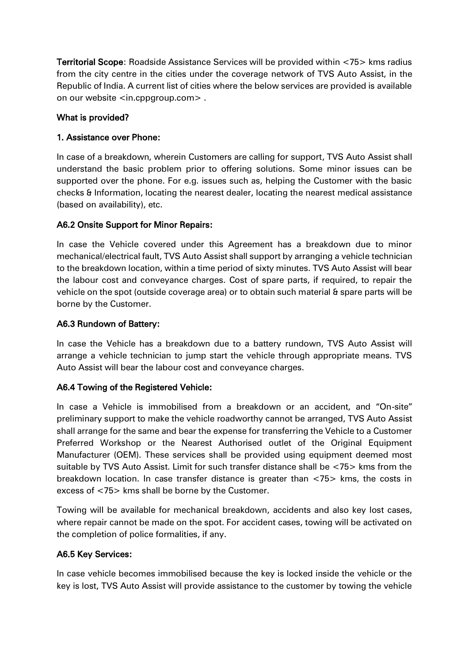Territorial Scope: Roadside Assistance Services will be provided within <75> kms radius from the city centre in the cities under the coverage network of TVS Auto Assist, in the Republic of India. A current list of cities where the below services are provided is available on our website <in.cppgroup.com> .

## What is provided?

## 1. Assistance over Phone:

In case of a breakdown, wherein Customers are calling for support, TVS Auto Assist shall understand the basic problem prior to offering solutions. Some minor issues can be supported over the phone. For e.g. issues such as, helping the Customer with the basic checks & Information, locating the nearest dealer, locating the nearest medical assistance (based on availability), etc.

## A6.2 Onsite Support for Minor Repairs:

In case the Vehicle covered under this Agreement has a breakdown due to minor mechanical/electrical fault, TVS Auto Assist shall support by arranging a vehicle technician to the breakdown location, within a time period of sixty minutes. TVS Auto Assist will bear the labour cost and conveyance charges. Cost of spare parts, if required, to repair the vehicle on the spot (outside coverage area) or to obtain such material & spare parts will be borne by the Customer.

## A6.3 Rundown of Battery:

In case the Vehicle has a breakdown due to a battery rundown, TVS Auto Assist will arrange a vehicle technician to jump start the vehicle through appropriate means. TVS Auto Assist will bear the labour cost and conveyance charges.

## A6.4 Towing of the Registered Vehicle:

In case a Vehicle is immobilised from a breakdown or an accident, and "On-site" preliminary support to make the vehicle roadworthy cannot be arranged, TVS Auto Assist shall arrange for the same and bear the expense for transferring the Vehicle to a Customer Preferred Workshop or the Nearest Authorised outlet of the Original Equipment Manufacturer (OEM). These services shall be provided using equipment deemed most suitable by TVS Auto Assist. Limit for such transfer distance shall be <75> kms from the breakdown location. In case transfer distance is greater than <75> kms, the costs in excess of <75> kms shall be borne by the Customer.

Towing will be available for mechanical breakdown, accidents and also key lost cases, where repair cannot be made on the spot. For accident cases, towing will be activated on the completion of police formalities, if any.

## A6.5 Key Services:

In case vehicle becomes immobilised because the key is locked inside the vehicle or the key is lost, TVS Auto Assist will provide assistance to the customer by towing the vehicle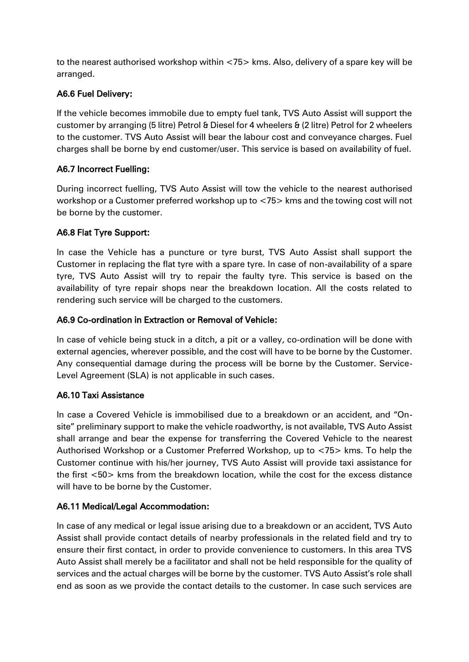to the nearest authorised workshop within <75> kms. Also, delivery of a spare key will be arranged.

# A6.6 Fuel Delivery:

If the vehicle becomes immobile due to empty fuel tank, TVS Auto Assist will support the customer by arranging (5 litre) Petrol & Diesel for 4 wheelers & (2 litre) Petrol for 2 wheelers to the customer. TVS Auto Assist will bear the labour cost and conveyance charges. Fuel charges shall be borne by end customer/user. This service is based on availability of fuel.

## A6.7 Incorrect Fuelling:

During incorrect fuelling, TVS Auto Assist will tow the vehicle to the nearest authorised workshop or a Customer preferred workshop up to <75> kms and the towing cost will not be borne by the customer.

## A6.8 Flat Tyre Support:

In case the Vehicle has a puncture or tyre burst, TVS Auto Assist shall support the Customer in replacing the flat tyre with a spare tyre. In case of non-availability of a spare tyre, TVS Auto Assist will try to repair the faulty tyre. This service is based on the availability of tyre repair shops near the breakdown location. All the costs related to rendering such service will be charged to the customers.

## A6.9 Co-ordination in Extraction or Removal of Vehicle:

In case of vehicle being stuck in a ditch, a pit or a valley, co-ordination will be done with external agencies, wherever possible, and the cost will have to be borne by the Customer. Any consequential damage during the process will be borne by the Customer. Service-Level Agreement (SLA) is not applicable in such cases.

## A6.10 Taxi Assistance

In case a Covered Vehicle is immobilised due to a breakdown or an accident, and "Onsite" preliminary support to make the vehicle roadworthy, is not available, TVS Auto Assist shall arrange and bear the expense for transferring the Covered Vehicle to the nearest Authorised Workshop or a Customer Preferred Workshop, up to <75> kms. To help the Customer continue with his/her journey, TVS Auto Assist will provide taxi assistance for the first <50> kms from the breakdown location, while the cost for the excess distance will have to be borne by the Customer.

## A6.11 Medical/Legal Accommodation:

In case of any medical or legal issue arising due to a breakdown or an accident, TVS Auto Assist shall provide contact details of nearby professionals in the related field and try to ensure their first contact, in order to provide convenience to customers. In this area TVS Auto Assist shall merely be a facilitator and shall not be held responsible for the quality of services and the actual charges will be borne by the customer. TVS Auto Assist's role shall end as soon as we provide the contact details to the customer. In case such services are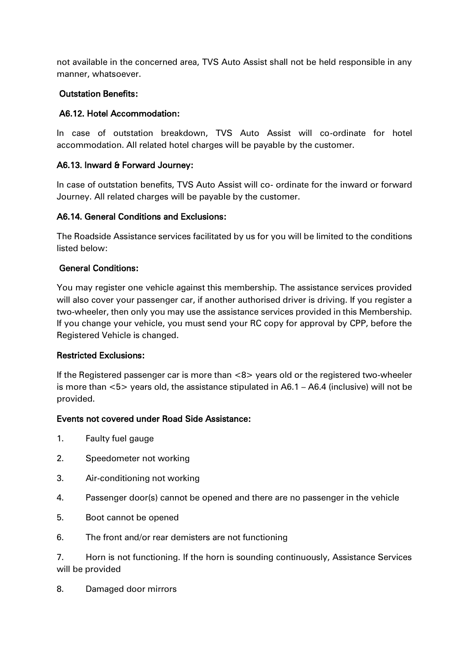not available in the concerned area, TVS Auto Assist shall not be held responsible in any manner, whatsoever.

### Outstation Benefits:

## A6.12. Hotel Accommodation:

In case of outstation breakdown, TVS Auto Assist will co-ordinate for hotel accommodation. All related hotel charges will be payable by the customer.

## A6.13. Inward & Forward Journey:

In case of outstation benefits, TVS Auto Assist will co- ordinate for the inward or forward Journey. All related charges will be payable by the customer.

### A6.14. General Conditions and Exclusions:

The Roadside Assistance services facilitated by us for you will be limited to the conditions listed below:

### General Conditions:

You may register one vehicle against this membership. The assistance services provided will also cover your passenger car, if another authorised driver is driving. If you register a two-wheeler, then only you may use the assistance services provided in this Membership. If you change your vehicle, you must send your RC copy for approval by CPP, before the Registered Vehicle is changed.

### Restricted Exclusions:

If the Registered passenger car is more than <8> years old or the registered two-wheeler is more than <5> years old, the assistance stipulated in A6.1 – A6.4 (inclusive) will not be provided.

### Events not covered under Road Side Assistance:

- 1. Faulty fuel gauge
- 2. Speedometer not working
- 3. Air-conditioning not working
- 4. Passenger door(s) cannot be opened and there are no passenger in the vehicle
- 5. Boot cannot be opened
- 6. The front and/or rear demisters are not functioning

7. Horn is not functioning. If the horn is sounding continuously, Assistance Services will be provided

8. Damaged door mirrors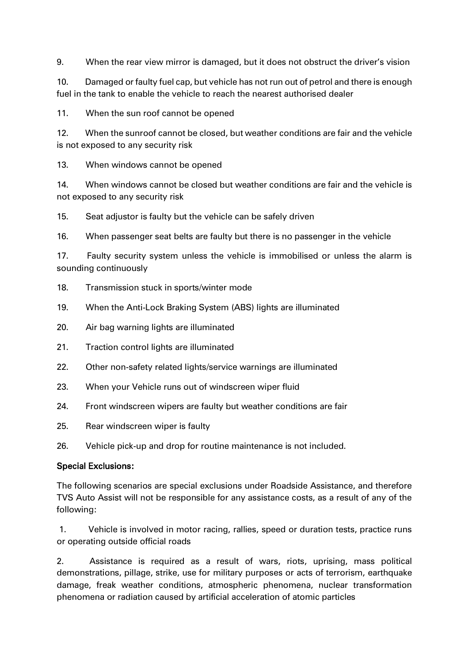9. When the rear view mirror is damaged, but it does not obstruct the driver's vision

10. Damaged or faulty fuel cap, but vehicle has not run out of petrol and there is enough fuel in the tank to enable the vehicle to reach the nearest authorised dealer

11. When the sun roof cannot be opened

12. When the sunroof cannot be closed, but weather conditions are fair and the vehicle is not exposed to any security risk

13. When windows cannot be opened

14. When windows cannot be closed but weather conditions are fair and the vehicle is not exposed to any security risk

15. Seat adjustor is faulty but the vehicle can be safely driven

16. When passenger seat belts are faulty but there is no passenger in the vehicle

17. Faulty security system unless the vehicle is immobilised or unless the alarm is sounding continuously

- 18. Transmission stuck in sports/winter mode
- 19. When the Anti-Lock Braking System (ABS) lights are illuminated
- 20. Air bag warning lights are illuminated
- 21. Traction control lights are illuminated
- 22. Other non-safety related lights/service warnings are illuminated
- 23. When your Vehicle runs out of windscreen wiper fluid
- 24. Front windscreen wipers are faulty but weather conditions are fair
- 25. Rear windscreen wiper is faulty
- 26. Vehicle pick-up and drop for routine maintenance is not included.

### Special Exclusions:

The following scenarios are special exclusions under Roadside Assistance, and therefore TVS Auto Assist will not be responsible for any assistance costs, as a result of any of the following:

1. Vehicle is involved in motor racing, rallies, speed or duration tests, practice runs or operating outside official roads

2. Assistance is required as a result of wars, riots, uprising, mass political demonstrations, pillage, strike, use for military purposes or acts of terrorism, earthquake damage, freak weather conditions, atmospheric phenomena, nuclear transformation phenomena or radiation caused by artificial acceleration of atomic particles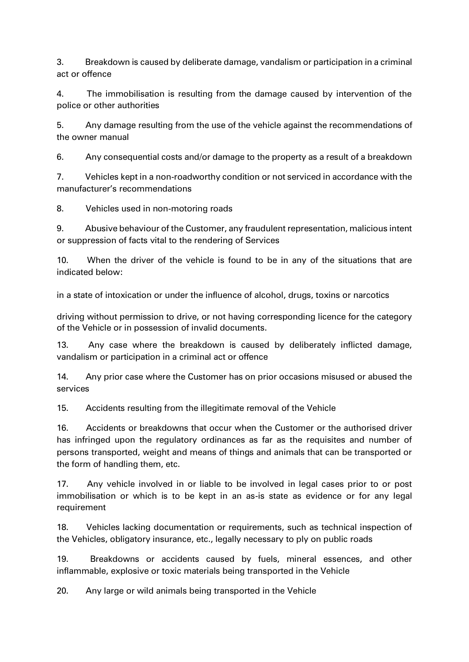3. Breakdown is caused by deliberate damage, vandalism or participation in a criminal act or offence

4. The immobilisation is resulting from the damage caused by intervention of the police or other authorities

5. Any damage resulting from the use of the vehicle against the recommendations of the owner manual

6. Any consequential costs and/or damage to the property as a result of a breakdown

7. Vehicles kept in a non-roadworthy condition or not serviced in accordance with the manufacturer's recommendations

8. Vehicles used in non-motoring roads

9. Abusive behaviour of the Customer, any fraudulent representation, malicious intent or suppression of facts vital to the rendering of Services

10. When the driver of the vehicle is found to be in any of the situations that are indicated below:

in a state of intoxication or under the influence of alcohol, drugs, toxins or narcotics

driving without permission to drive, or not having corresponding licence for the category of the Vehicle or in possession of invalid documents.

13. Any case where the breakdown is caused by deliberately inflicted damage, vandalism or participation in a criminal act or offence

14. Any prior case where the Customer has on prior occasions misused or abused the services

15. Accidents resulting from the illegitimate removal of the Vehicle

16. Accidents or breakdowns that occur when the Customer or the authorised driver has infringed upon the regulatory ordinances as far as the requisites and number of persons transported, weight and means of things and animals that can be transported or the form of handling them, etc.

17. Any vehicle involved in or liable to be involved in legal cases prior to or post immobilisation or which is to be kept in an as-is state as evidence or for any legal requirement

18. Vehicles lacking documentation or requirements, such as technical inspection of the Vehicles, obligatory insurance, etc., legally necessary to ply on public roads

19. Breakdowns or accidents caused by fuels, mineral essences, and other inflammable, explosive or toxic materials being transported in the Vehicle

20. Any large or wild animals being transported in the Vehicle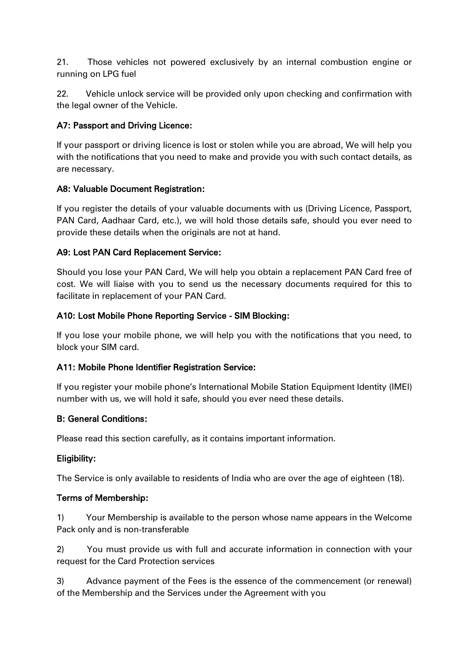21. Those vehicles not powered exclusively by an internal combustion engine or running on LPG fuel

22. Vehicle unlock service will be provided only upon checking and confirmation with the legal owner of the Vehicle.

# A7: Passport and Driving Licence:

If your passport or driving licence is lost or stolen while you are abroad, We will help you with the notifications that you need to make and provide you with such contact details, as are necessary.

## A8: Valuable Document Registration:

If you register the details of your valuable documents with us (Driving Licence, Passport, PAN Card, Aadhaar Card, etc.), we will hold those details safe, should you ever need to provide these details when the originals are not at hand.

## A9: Lost PAN Card Replacement Service:

Should you lose your PAN Card, We will help you obtain a replacement PAN Card free of cost. We will liaise with you to send us the necessary documents required for this to facilitate in replacement of your PAN Card.

## A10: Lost Mobile Phone Reporting Service - SIM Blocking:

If you lose your mobile phone, we will help you with the notifications that you need, to block your SIM card.

## A11: Mobile Phone Identifier Registration Service:

If you register your mobile phone's International Mobile Station Equipment Identity (IMEI) number with us, we will hold it safe, should you ever need these details.

# B: General Conditions:

Please read this section carefully, as it contains important information.

## Eligibility:

The Service is only available to residents of India who are over the age of eighteen (18).

## Terms of Membership:

1) Your Membership is available to the person whose name appears in the Welcome Pack only and is non-transferable

2) You must provide us with full and accurate information in connection with your request for the Card Protection services

3) Advance payment of the Fees is the essence of the commencement (or renewal) of the Membership and the Services under the Agreement with you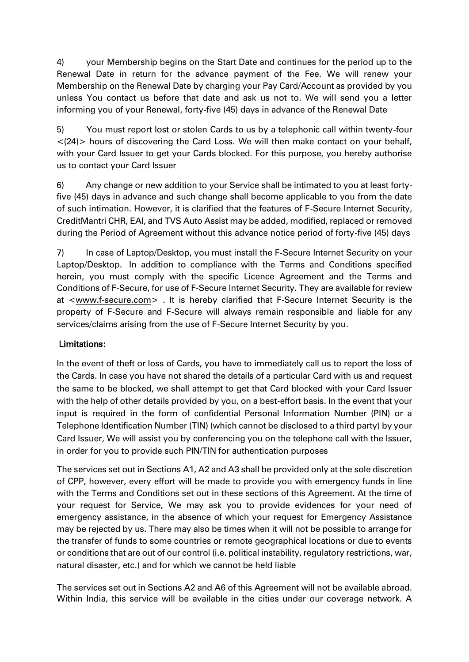4) your Membership begins on the Start Date and continues for the period up to the Renewal Date in return for the advance payment of the Fee. We will renew your Membership on the Renewal Date by charging your Pay Card/Account as provided by you unless You contact us before that date and ask us not to. We will send you a letter informing you of your Renewal, forty-five (45) days in advance of the Renewal Date

5) You must report lost or stolen Cards to us by a telephonic call within twenty-four  $<$ (24) > hours of discovering the Card Loss. We will then make contact on your behalf, with your Card Issuer to get your Cards blocked. For this purpose, you hereby authorise us to contact your Card Issuer

6) Any change or new addition to your Service shall be intimated to you at least fortyfive (45) days in advance and such change shall become applicable to you from the date of such intimation. However, it is clarified that the features of F-Secure Internet Security, CreditMantri CHR, EAI, and TVS Auto Assist may be added, modified, replaced or removed during the Period of Agreement without this advance notice period of forty-five (45) days

7) In case of Laptop/Desktop, you must install the F-Secure Internet Security on your Laptop/Desktop. In addition to compliance with the Terms and Conditions specified herein, you must comply with the specific Licence Agreement and the Terms and Conditions of F-Secure, for use of F-Secure Internet Security. They are available for review at [<www.f-secure.com>](http://www.f-secure.com/) . It is hereby clarified that F-Secure Internet Security is the property of F-Secure and F-Secure will always remain responsible and liable for any services/claims arising from the use of F-Secure Internet Security by you.

# Limitations:

In the event of theft or loss of Cards, you have to immediately call us to report the loss of the Cards. In case you have not shared the details of a particular Card with us and request the same to be blocked, we shall attempt to get that Card blocked with your Card Issuer with the help of other details provided by you, on a best-effort basis. In the event that your input is required in the form of confidential Personal Information Number (PIN) or a Telephone Identification Number (TIN) (which cannot be disclosed to a third party) by your Card Issuer, We will assist you by conferencing you on the telephone call with the Issuer, in order for you to provide such PIN/TIN for authentication purposes

The services set out in Sections A1, A2 and A3 shall be provided only at the sole discretion of CPP, however, every effort will be made to provide you with emergency funds in line with the Terms and Conditions set out in these sections of this Agreement. At the time of your request for Service, We may ask you to provide evidences for your need of emergency assistance, in the absence of which your request for Emergency Assistance may be rejected by us. There may also be times when it will not be possible to arrange for the transfer of funds to some countries or remote geographical locations or due to events or conditions that are out of our control (i.e. political instability, regulatory restrictions, war, natural disaster, etc.) and for which we cannot be held liable

The services set out in Sections A2 and A6 of this Agreement will not be available abroad. Within India, this service will be available in the cities under our coverage network. A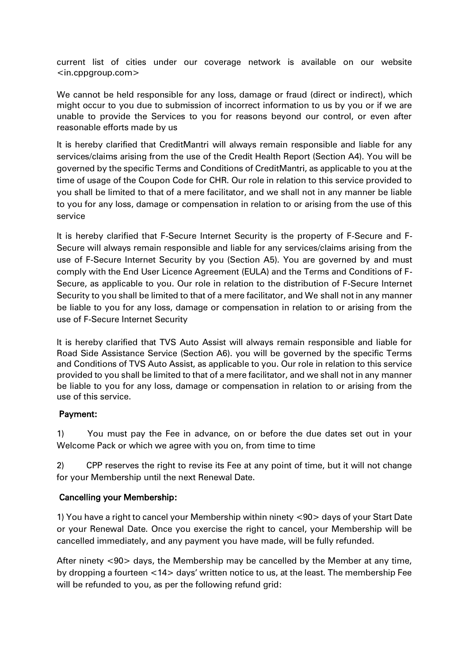current list of cities under our coverage network is available on our website <in.cppgroup.com>

We cannot be held responsible for any loss, damage or fraud (direct or indirect), which might occur to you due to submission of incorrect information to us by you or if we are unable to provide the Services to you for reasons beyond our control, or even after reasonable efforts made by us

It is hereby clarified that CreditMantri will always remain responsible and liable for any services/claims arising from the use of the Credit Health Report (Section A4). You will be governed by the specific Terms and Conditions of CreditMantri, as applicable to you at the time of usage of the Coupon Code for CHR. Our role in relation to this service provided to you shall be limited to that of a mere facilitator, and we shall not in any manner be liable to you for any loss, damage or compensation in relation to or arising from the use of this service

It is hereby clarified that F-Secure Internet Security is the property of F-Secure and F-Secure will always remain responsible and liable for any services/claims arising from the use of F-Secure Internet Security by you (Section A5). You are governed by and must comply with the End User Licence Agreement (EULA) and the Terms and Conditions of F-Secure, as applicable to you. Our role in relation to the distribution of F-Secure Internet Security to you shall be limited to that of a mere facilitator, and We shall not in any manner be liable to you for any loss, damage or compensation in relation to or arising from the use of F-Secure Internet Security

It is hereby clarified that TVS Auto Assist will always remain responsible and liable for Road Side Assistance Service (Section A6). you will be governed by the specific Terms and Conditions of TVS Auto Assist, as applicable to you. Our role in relation to this service provided to you shall be limited to that of a mere facilitator, and we shall not in any manner be liable to you for any loss, damage or compensation in relation to or arising from the use of this service.

## Payment:

1) You must pay the Fee in advance, on or before the due dates set out in your Welcome Pack or which we agree with you on, from time to time

2) CPP reserves the right to revise its Fee at any point of time, but it will not change for your Membership until the next Renewal Date.

## Cancelling your Membership:

1) You have a right to cancel your Membership within ninety <90> days of your Start Date or your Renewal Date. Once you exercise the right to cancel, your Membership will be cancelled immediately, and any payment you have made, will be fully refunded.

After ninety <90> days, the Membership may be cancelled by the Member at any time, by dropping a fourteen <14> days' written notice to us, at the least. The membership Fee will be refunded to you, as per the following refund grid: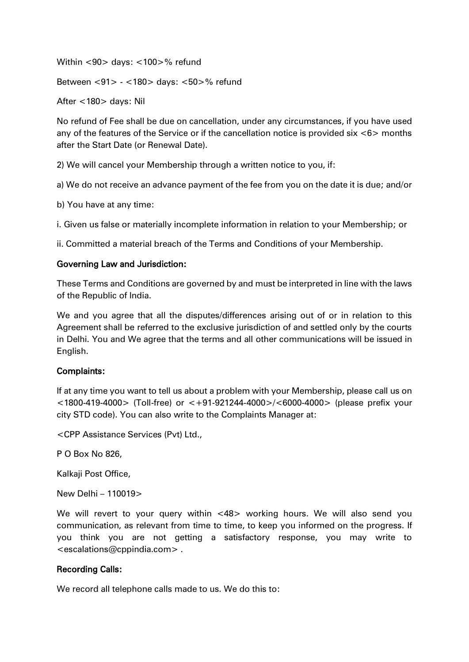Within <90> days: <100>% refund

Between <91> - <180> days: <50>% refund

After <180> days: Nil

No refund of Fee shall be due on cancellation, under any circumstances, if you have used any of the features of the Service or if the cancellation notice is provided six <6> months after the Start Date (or Renewal Date).

2) We will cancel your Membership through a written notice to you, if:

a) We do not receive an advance payment of the fee from you on the date it is due; and/or

b) You have at any time:

i. Given us false or materially incomplete information in relation to your Membership; or

ii. Committed a material breach of the Terms and Conditions of your Membership.

#### Governing Law and Jurisdiction:

These Terms and Conditions are governed by and must be interpreted in line with the laws of the Republic of India.

We and you agree that all the disputes/differences arising out of or in relation to this Agreement shall be referred to the exclusive jurisdiction of and settled only by the courts in Delhi. You and We agree that the terms and all other communications will be issued in English.

### Complaints:

If at any time you want to tell us about a problem with your Membership, please call us on <1800-419-4000> (Toll-free) or <+91-921244-4000>/<6000-4000> (please prefix your city STD code). You can also write to the Complaints Manager at:

<CPP Assistance Services (Pvt) Ltd.,

P O Box No 826,

Kalkaji Post Office,

New Delhi – 110019>

We will revert to your query within <48> working hours. We will also send you communication, as relevant from time to time, to keep you informed on the progress. If you think you are not getting a satisfactory response, you may write to <escalations@cppindia.com> .

### Recording Calls:

We record all telephone calls made to us. We do this to: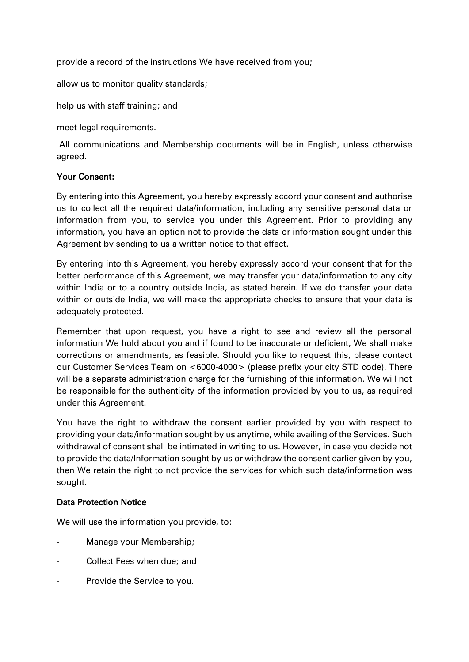provide a record of the instructions We have received from you;

allow us to monitor quality standards;

help us with staff training; and

meet legal requirements.

All communications and Membership documents will be in English, unless otherwise agreed.

### Your Consent:

By entering into this Agreement, you hereby expressly accord your consent and authorise us to collect all the required data/information, including any sensitive personal data or information from you, to service you under this Agreement. Prior to providing any information, you have an option not to provide the data or information sought under this Agreement by sending to us a written notice to that effect.

By entering into this Agreement, you hereby expressly accord your consent that for the better performance of this Agreement, we may transfer your data/information to any city within India or to a country outside India, as stated herein. If we do transfer your data within or outside India, we will make the appropriate checks to ensure that your data is adequately protected.

Remember that upon request, you have a right to see and review all the personal information We hold about you and if found to be inaccurate or deficient, We shall make corrections or amendments, as feasible. Should you like to request this, please contact our Customer Services Team on <6000-4000> (please prefix your city STD code). There will be a separate administration charge for the furnishing of this information. We will not be responsible for the authenticity of the information provided by you to us, as required under this Agreement.

You have the right to withdraw the consent earlier provided by you with respect to providing your data/information sought by us anytime, while availing of the Services. Such withdrawal of consent shall be intimated in writing to us. However, in case you decide not to provide the data/Information sought by us or withdraw the consent earlier given by you, then We retain the right to not provide the services for which such data/information was sought.

## Data Protection Notice

We will use the information you provide, to:

- Manage your Membership;
- Collect Fees when due; and
- Provide the Service to you.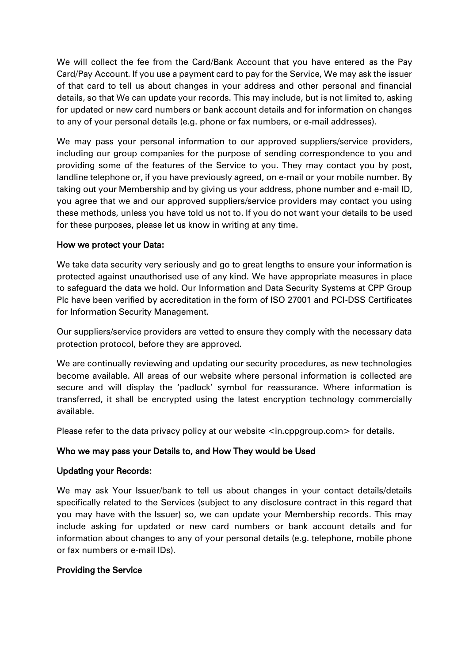We will collect the fee from the Card/Bank Account that you have entered as the Pay Card/Pay Account. If you use a payment card to pay for the Service, We may ask the issuer of that card to tell us about changes in your address and other personal and financial details, so that We can update your records. This may include, but is not limited to, asking for updated or new card numbers or bank account details and for information on changes to any of your personal details (e.g. phone or fax numbers, or e-mail addresses).

We may pass your personal information to our approved suppliers/service providers, including our group companies for the purpose of sending correspondence to you and providing some of the features of the Service to you. They may contact you by post, landline telephone or, if you have previously agreed, on e-mail or your mobile number. By taking out your Membership and by giving us your address, phone number and e-mail ID, you agree that we and our approved suppliers/service providers may contact you using these methods, unless you have told us not to. If you do not want your details to be used for these purposes, please let us know in writing at any time.

## How we protect your Data:

We take data security very seriously and go to great lengths to ensure your information is protected against unauthorised use of any kind. We have appropriate measures in place to safeguard the data we hold. Our Information and Data Security Systems at CPP Group Plc have been verified by accreditation in the form of ISO 27001 and PCI-DSS Certificates for Information Security Management.

Our suppliers/service providers are vetted to ensure they comply with the necessary data protection protocol, before they are approved.

We are continually reviewing and updating our security procedures, as new technologies become available. All areas of our website where personal information is collected are secure and will display the 'padlock' symbol for reassurance. Where information is transferred, it shall be encrypted using the latest encryption technology commercially available.

Please refer to the data privacy policy at our website  $\leq$  in.cppgroup.com > for details.

## Who we may pass your Details to, and How They would be Used

## Updating your Records:

We may ask Your Issuer/bank to tell us about changes in your contact details/details specifically related to the Services (subject to any disclosure contract in this regard that you may have with the Issuer) so, we can update your Membership records. This may include asking for updated or new card numbers or bank account details and for information about changes to any of your personal details (e.g. telephone, mobile phone or fax numbers or e-mail IDs).

## Providing the Service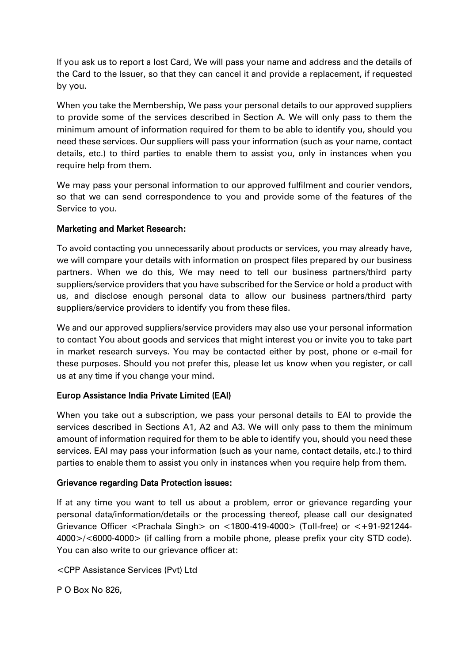If you ask us to report a lost Card, We will pass your name and address and the details of the Card to the Issuer, so that they can cancel it and provide a replacement, if requested by you.

When you take the Membership, We pass your personal details to our approved suppliers to provide some of the services described in Section A. We will only pass to them the minimum amount of information required for them to be able to identify you, should you need these services. Our suppliers will pass your information (such as your name, contact details, etc.) to third parties to enable them to assist you, only in instances when you require help from them.

We may pass your personal information to our approved fulfilment and courier vendors, so that we can send correspondence to you and provide some of the features of the Service to you.

## Marketing and Market Research:

To avoid contacting you unnecessarily about products or services, you may already have, we will compare your details with information on prospect files prepared by our business partners. When we do this, We may need to tell our business partners/third party suppliers/service providers that you have subscribed for the Service or hold a product with us, and disclose enough personal data to allow our business partners/third party suppliers/service providers to identify you from these files.

We and our approved suppliers/service providers may also use your personal information to contact You about goods and services that might interest you or invite you to take part in market research surveys. You may be contacted either by post, phone or e-mail for these purposes. Should you not prefer this, please let us know when you register, or call us at any time if you change your mind.

# Europ Assistance India Private Limited (EAI)

When you take out a subscription, we pass your personal details to EAI to provide the services described in Sections A1, A2 and A3. We will only pass to them the minimum amount of information required for them to be able to identify you, should you need these services. EAI may pass your information (such as your name, contact details, etc.) to third parties to enable them to assist you only in instances when you require help from them.

## Grievance regarding Data Protection issues:

If at any time you want to tell us about a problem, error or grievance regarding your personal data/information/details or the processing thereof, please call our designated Grievance Officer <Prachala Singh> on <1800-419-4000> (Toll-free) or <+91-921244- 4000>/<6000-4000> (if calling from a mobile phone, please prefix your city STD code). You can also write to our grievance officer at:

<CPP Assistance Services (Pvt) Ltd

P O Box No 826,